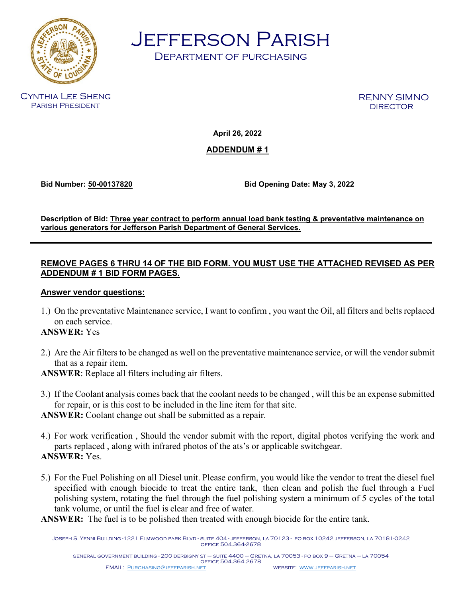

Jefferson Parish

Department of purchasing

Cynthia Lee Sheng Parish President

RENNY SIMNO

**April 26, 2022**

**ADDENDUM # 1**

**Bid Number: 50-00137820 Bid Opening Date: May 3, 2022**

**Description of Bid: Three year contract to perform annual load bank testing & preventative maintenance on various generators for Jefferson Parish Department of General Services.**

# **REMOVE PAGES 6 THRU 14 OF THE BID FORM. YOU MUST USE THE ATTACHED REVISED AS PER ADDENDUM # 1 BID FORM PAGES.**

# **Answer vendor questions:**

1.) On the preventative Maintenance service, I want to confirm , you want the Oil, all filters and belts replaced on each service.

# **ANSWER:** Yes

2.) Are the Air filters to be changed as well on the preventative maintenance service, or will the vendor submit that as a repair item.

**ANSWER**: Replace all filters including air filters.

3.) If the Coolant analysis comes back that the coolant needs to be changed , will this be an expense submitted for repair, or is this cost to be included in the line item for that site.

**ANSWER:** Coolant change out shall be submitted as a repair.

- 4.) For work verification , Should the vendor submit with the report, digital photos verifying the work and parts replaced , along with infrared photos of the ats's or applicable switchgear. **ANSWER:** Yes.
- 5.) For the Fuel Polishing on all Diesel unit. Please confirm, you would like the vendor to treat the diesel fuel specified with enough biocide to treat the entire tank, then clean and polish the fuel through a Fuel polishing system, rotating the fuel through the fuel polishing system a minimum of 5 cycles of the total tank volume, or until the fuel is clear and free of water.

**ANSWER:** The fuel is to be polished then treated with enough biocide for the entire tank.

Joseph S. Yenni Building -1221 Elmwood park Blvd - suite 404 - jefferson, la 70123 - po box 10242 jefferson, la 70181-0242 office 504.364-2678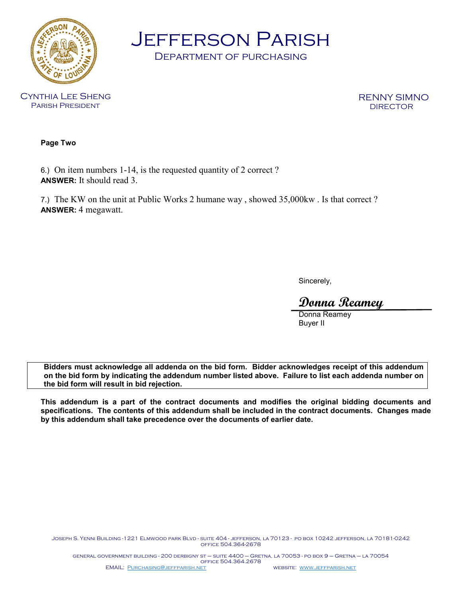

Jefferson Parish

Department of purchasing

RENNY SIMNO

**Page Two**

6.) On item numbers 1-14, is the requested quantity of 2 correct ? **ANSWER:** It should read 3.

7.) The KW on the unit at Public Works 2 humane way , showed 35,000kw . Is that correct ? **ANSWER:** 4 megawatt.

Sincerely,

**Donna Reamey**

Donna Reamey Buyer II

**Bidders must acknowledge all addenda on the bid form. Bidder acknowledges receipt of this addendum on the bid form by indicating the addendum number listed above. Failure to list each addenda number on the bid form will result in bid rejection.**

**This addendum is a part of the contract documents and modifies the original bidding documents and specifications. The contents of this addendum shall be included in the contract documents. Changes made by this addendum shall take precedence over the documents of earlier date.**

Joseph S. Yenni Building -1221 Elmwood park Blvd - suite 404 - jefferson, la 70123 - po box 10242 jefferson, la 70181-0242 office 504.364-2678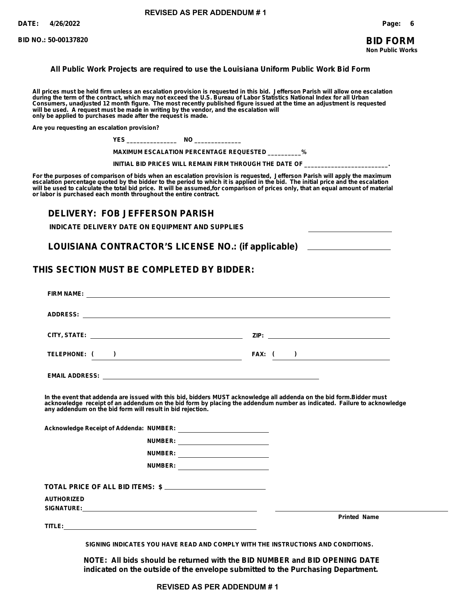### **BID FORM Non Public Works**

#### **All Public Work Projects are required to use the Louisiana Uniform Public Work Bid Form**

**All prices must be held firm unless an escalation provision is requested in this bid. Jefferson Parish will allow one escalation during the term of the contract, which may not exceed the U.S. Bureau of Labor Statistics National Index for all Urban Consumers, unadjusted 12 month figure. The most recently published figure issued at the time an adjustment is requested will be used. A request must be made in writing by the vendor, and the escalation will only be applied to purchases made after the request is made.**

**Are you requesting an escalation provision?**

**YES \_\_\_\_\_\_\_\_\_\_\_\_\_\_\_ NO \_\_\_\_\_\_\_\_\_\_\_\_\_\_**

**MAXIMUM ESCALATION PERCENTAGE REQUESTED \_\_\_\_\_\_\_\_\_\_%**

INITIAL BID PRICES WILL REMAIN FIRM THROUGH THE DATE OF \_

**For the purposes of comparison of bids when an escalation provision is requested, Jefferson Parish will apply the maximum escalation percentage quoted by the bidder to the period to which it is applied in the bid. The initial price and the escalation will be used to calculate the total bid price. It will be assumed,for comparison of prices only, that an equal amount of material or labor is purchased each month throughout the entire contract.**

## **DELIVERY: FOB JEFFERSON PARISH**

**INDICATE DELIVERY DATE ON EQUIPMENT AND SUPPLIES**

**LOUISIANA CONTRACTOR'S LICENSE NO.: (if applicable)**

### **THIS SECTION MUST BE COMPLETED BY BIDDER:**

|                   | In the event that addenda are issued with this bid, bidders MUST acknowledge all addenda on the bid form. Bidder must<br>acknowledge receipt of an addendum on the bid form by placing the addendum number as indicated. Failure to acknowledge<br>any addendum on the bid form will result in bid rejection. |  |                     |
|-------------------|---------------------------------------------------------------------------------------------------------------------------------------------------------------------------------------------------------------------------------------------------------------------------------------------------------------|--|---------------------|
|                   |                                                                                                                                                                                                                                                                                                               |  |                     |
|                   | NUMBER: ___________________________                                                                                                                                                                                                                                                                           |  |                     |
|                   | NUMBER: ____________________________                                                                                                                                                                                                                                                                          |  |                     |
|                   | NUMBER: __________________________                                                                                                                                                                                                                                                                            |  |                     |
|                   | TOTAL PRICE OF ALL BID ITEMS: \$                                                                                                                                                                                                                                                                              |  |                     |
| <b>AUTHORIZED</b> |                                                                                                                                                                                                                                                                                                               |  |                     |
|                   |                                                                                                                                                                                                                                                                                                               |  |                     |
|                   |                                                                                                                                                                                                                                                                                                               |  | <b>Printed Name</b> |
|                   | SIGNING INDICATES YOU HAVE READ AND COMPLY WITH THE INSTRUCTIONS AND CONDITIONS.                                                                                                                                                                                                                              |  |                     |

**NOTE: All bids should be returned with the BID NUMBER and BID OPENING DATE indicated on the outside of the envelope submitted to the Purchasing Department.**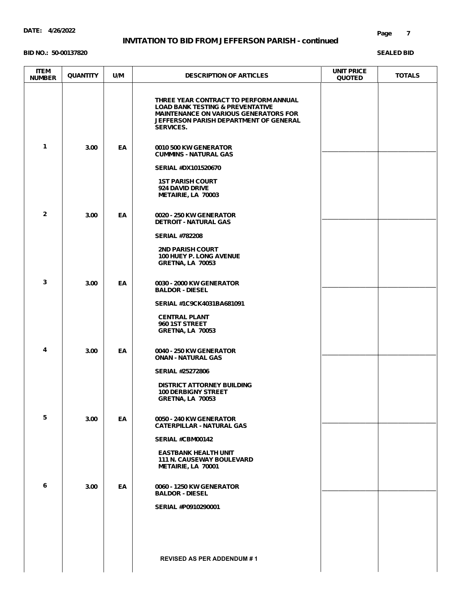#### **BID NO.: 50-00137820**

| <b>ITEM</b><br><b>NUMBER</b> | <b>QUANTITY</b> | U/M | <b>DESCRIPTION OF ARTICLES</b>                                                                                                                                                                            | <b>UNIT PRICE</b><br><b>QUOTED</b> | <b>TOTALS</b> |
|------------------------------|-----------------|-----|-----------------------------------------------------------------------------------------------------------------------------------------------------------------------------------------------------------|------------------------------------|---------------|
|                              |                 |     | THREE YEAR CONTRACT TO PERFORM ANNUAL<br><b>LOAD BANK TESTING &amp; PREVENTATIVE</b><br><b>MAINTENANCE ON VARIOUS GENERATORS FOR</b><br><b>JEFFERSON PARISH DEPARTMENT OF GENERAL</b><br><b>SERVICES.</b> |                                    |               |
| $\mathbf{1}$                 | 3.00            | EA  | 0010 500 KW GENERATOR<br><b>CUMMINS - NATURAL GAS</b>                                                                                                                                                     |                                    |               |
|                              |                 |     | <b>SERIAL #DX101520670</b>                                                                                                                                                                                |                                    |               |
|                              |                 |     | <b>1ST PARISH COURT</b><br>924 DAVID DRIVE<br>METAIRIE, LA 70003                                                                                                                                          |                                    |               |
| $\mathbf{2}$                 | 3.00            | EA  | 0020 - 250 KW GENERATOR<br><b>DETROIT - NATURAL GAS</b>                                                                                                                                                   |                                    |               |
|                              |                 |     | <b>SERIAL #782208</b>                                                                                                                                                                                     |                                    |               |
|                              |                 |     | <b>2ND PARISH COURT</b><br><b>100 HUEY P. LONG AVENUE</b><br><b>GRETNA, LA 70053</b>                                                                                                                      |                                    |               |
| 3                            | 3.00            | EA  | 0030 - 2000 KW GENERATOR<br><b>BALDOR - DIESEL</b>                                                                                                                                                        |                                    |               |
|                              |                 |     | SERIAL #1C9CK4031BA681091                                                                                                                                                                                 |                                    |               |
|                              |                 |     | <b>CENTRAL PLANT</b><br>960 1ST STREET<br><b>GRETNA, LA 70053</b>                                                                                                                                         |                                    |               |
| 4                            | 3.00            | EA  | 0040 - 250 KW GENERATOR<br><b>ONAN - NATURAL GAS</b>                                                                                                                                                      |                                    |               |
|                              |                 |     | <b>SERIAL #25272806</b>                                                                                                                                                                                   |                                    |               |
|                              |                 |     | <b>DISTRICT ATTORNEY BUILDING</b><br><b>100 DERBIGNY STREET</b><br><b>GRETNA, LA 70053</b>                                                                                                                |                                    |               |
| 5                            | 3.00            | EA  | 0050 - 240 KW GENERATOR<br><b>CATERPILLAR - NATURAL GAS</b>                                                                                                                                               |                                    |               |
|                              |                 |     | SERIAL #CBM00142                                                                                                                                                                                          |                                    |               |
|                              |                 |     | <b>EASTBANK HEALTH UNIT</b><br><b>111 N. CAUSEWAY BOULEVARD</b><br>METAIRIE, LA 70001                                                                                                                     |                                    |               |
| 6                            | 3.00            | EA  | 0060 - 1250 KW GENERATOR<br><b>BALDOR - DIESEL</b>                                                                                                                                                        |                                    |               |
|                              |                 |     | SERIAL #P0910290001                                                                                                                                                                                       |                                    |               |
|                              |                 |     |                                                                                                                                                                                                           |                                    |               |
|                              |                 |     | <b>REVISED AS PER ADDENDUM #1</b>                                                                                                                                                                         |                                    |               |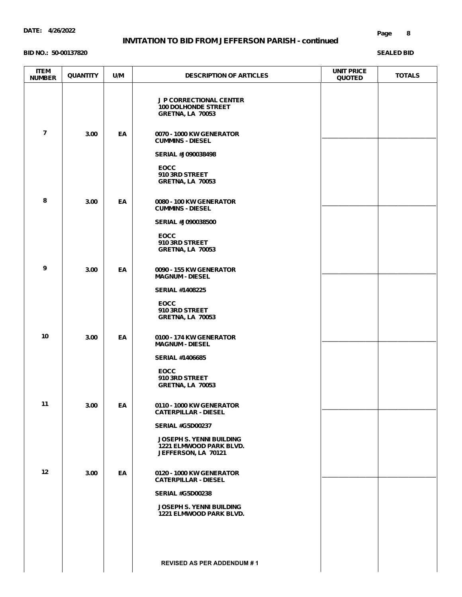#### **BID NO.: 50-00137820**

| <b>ITEM</b><br><b>NUMBER</b> | <b>QUANTITY</b> | U/M       | <b>DESCRIPTION OF ARTICLES</b>                                                           | <b>UNIT PRICE</b><br><b>QUOTED</b> | <b>TOTALS</b> |
|------------------------------|-----------------|-----------|------------------------------------------------------------------------------------------|------------------------------------|---------------|
|                              |                 |           | <b>J P CORRECTIONAL CENTER</b><br><b>100 DOLHONDE STREET</b><br><b>GRETNA, LA 70053</b>  |                                    |               |
| $\overline{7}$               | 3.00            | EA        | 0070 - 1000 KW GENERATOR<br><b>CUMMINS - DIESEL</b>                                      |                                    |               |
|                              |                 |           | <b>SERIAL #J090038498</b>                                                                |                                    |               |
|                              |                 |           | <b>EOCC</b><br>910 3RD STREET<br><b>GRETNA, LA 70053</b>                                 |                                    |               |
| 8                            | 3.00            | EA        | 0080 - 100 KW GENERATOR<br><b>CUMMINS - DIESEL</b>                                       |                                    |               |
|                              |                 |           | <b>SERIAL #J090038500</b>                                                                |                                    |               |
|                              |                 |           | <b>EOCC</b><br>910 3RD STREET<br><b>GRETNA, LA 70053</b>                                 |                                    |               |
| 9                            | 3.00            | EA        | 0090 - 155 KW GENERATOR<br><b>MAGNUM - DIESEL</b>                                        |                                    |               |
|                              |                 |           | <b>SERIAL #1408225</b>                                                                   |                                    |               |
|                              |                 |           | <b>EOCC</b><br>910 3RD STREET<br><b>GRETNA, LA 70053</b>                                 |                                    |               |
| 10                           | 3.00            | EA        | 0100 - 174 KW GENERATOR<br><b>MAGNUM - DIESEL</b>                                        |                                    |               |
|                              |                 |           | <b>SERIAL #1406685</b>                                                                   |                                    |               |
|                              |                 |           | <b>EOCC</b><br>910 3RD STREET<br><b>GRETNA, LA 70053</b>                                 |                                    |               |
| 11                           | 3.00            | EA        | 0110 - 1000 KW GENERATOR<br><b>CATERPILLAR - DIESEL</b>                                  |                                    |               |
|                              |                 |           | <b>SERIAL #G5D00237</b>                                                                  |                                    |               |
|                              |                 |           | <b>JOSEPH S. YENNI BUILDING</b><br><b>1221 ELMWOOD PARK BLVD.</b><br>JEFFERSON, LA 70121 |                                    |               |
| 12 <sub>2</sub>              | 3.00            | <b>EA</b> | 0120 - 1000 KW GENERATOR<br><b>CATERPILLAR - DIESEL</b>                                  |                                    |               |
|                              |                 |           | <b>SERIAL #G5D00238</b>                                                                  |                                    |               |
|                              |                 |           | <b>JOSEPH S. YENNI BUILDING</b><br><b>1221 ELMWOOD PARK BLVD.</b>                        |                                    |               |
|                              |                 |           |                                                                                          |                                    |               |
|                              |                 |           | <b>REVISED AS PER ADDENDUM #1</b>                                                        |                                    |               |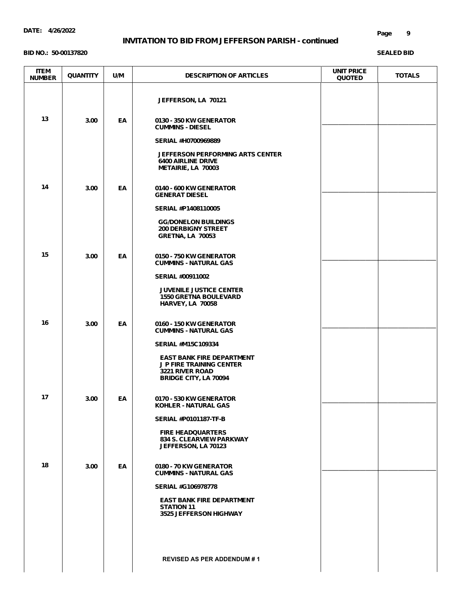#### **DATE: 4/26/2022**

### **INVITATION TO BID FROM JEFFERSON PARISH - continued**

#### **BID NO.: 50-00137820**

#### **Page 9**

| <b>ITEM</b><br><b>NUMBER</b> | <b>QUANTITY</b> | U/M | <b>DESCRIPTION OF ARTICLES</b>                                                                                        | <b>UNIT PRICE</b><br><b>QUOTED</b> | <b>TOTALS</b> |
|------------------------------|-----------------|-----|-----------------------------------------------------------------------------------------------------------------------|------------------------------------|---------------|
|                              |                 |     | JEFFERSON, LA 70121                                                                                                   |                                    |               |
| 13                           | 3.00            | EA  | 0130 - 350 KW GENERATOR<br><b>CUMMINS - DIESEL</b>                                                                    |                                    |               |
|                              |                 |     | SERIAL #H0700969889                                                                                                   |                                    |               |
|                              |                 |     | <b>JEFFERSON PERFORMING ARTS CENTER</b><br><b>6400 AIRLINE DRIVE</b><br>METAIRIE, LA 70003                            |                                    |               |
| 14                           | 3.00            | EA  | 0140 - 600 KW GENERATOR<br><b>GENERAT DIESEL</b>                                                                      |                                    |               |
|                              |                 |     | SERIAL #P1408110005                                                                                                   |                                    |               |
|                              |                 |     | <b>GG/DONELON BUILDINGS</b><br><b>200 DERBIGNY STREET</b><br><b>GRETNA, LA 70053</b>                                  |                                    |               |
| 15                           | 3.00            | EA  | 0150 - 750 KW GENERATOR<br><b>CUMMINS - NATURAL GAS</b>                                                               |                                    |               |
|                              |                 |     | <b>SERIAL #00911002</b>                                                                                               |                                    |               |
|                              |                 |     | <b>JUVENILE JUSTICE CENTER</b><br><b>1550 GRETNA BOULEVARD</b><br><b>HARVEY, LA 70058</b>                             |                                    |               |
| 16                           | 3.00            | EA  | 0160 - 150 KW GENERATOR<br><b>CUMMINS - NATURAL GAS</b>                                                               |                                    |               |
|                              |                 |     | <b>SERIAL #M15C109334</b>                                                                                             |                                    |               |
|                              |                 |     | <b>EAST BANK FIRE DEPARTMENT</b><br><b>JP FIRE TRAINING CENTER</b><br>3221 RIVER ROAD<br><b>BRIDGE CITY, LA 70094</b> |                                    |               |
| 17                           | 3.00            | EA  | 0170 - 530 KW GENERATOR<br>KOHLER - NATURAL GAS                                                                       |                                    |               |
|                              |                 |     | <b>SERIAL #P0101187-TF-B</b>                                                                                          |                                    |               |
|                              |                 |     | <b>FIRE HEADQUARTERS</b><br><b>834 S. CLEARVIEW PARKWAY</b><br>JEFFERSON, LA 70123                                    |                                    |               |
| 18                           | 3.00            | EA  | 0180 - 70 KW GENERATOR<br><b>CUMMINS - NATURAL GAS</b>                                                                |                                    |               |
|                              |                 |     | <b>SERIAL #G106978778</b>                                                                                             |                                    |               |
|                              |                 |     | <b>EAST BANK FIRE DEPARTMENT</b><br><b>STATION 11</b><br>3525 JEFFERSON HIGHWAY                                       |                                    |               |
|                              |                 |     |                                                                                                                       |                                    |               |
|                              |                 |     | <b>REVISED AS PER ADDENDUM #1</b>                                                                                     |                                    |               |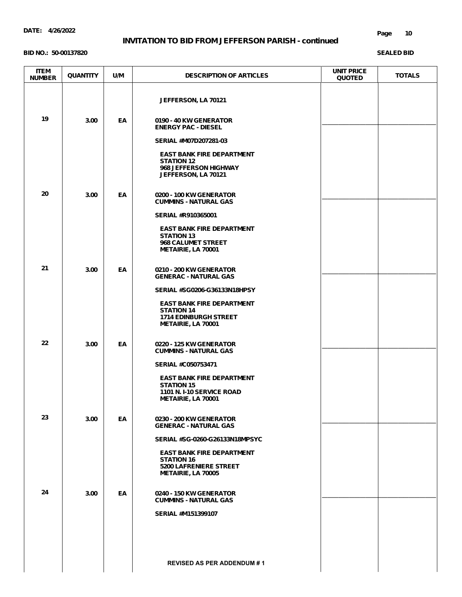#### **DATE: 4/26/2022**

### **INVITATION TO BID FROM JEFFERSON PARISH - continued**

#### **BID NO.: 50-00137820**

#### **Page 10**

| <b>ITEM</b><br><b>NUMBER</b> | <b>QUANTITY</b> | U/M | <b>DESCRIPTION OF ARTICLES</b>                                                                                         | <b>UNIT PRICE</b><br><b>QUOTED</b> | <b>TOTALS</b> |
|------------------------------|-----------------|-----|------------------------------------------------------------------------------------------------------------------------|------------------------------------|---------------|
|                              |                 |     | JEFFERSON, LA 70121                                                                                                    |                                    |               |
| 19                           | 3.00            | EA  | 0190 - 40 KW GENERATOR<br><b>ENERGY PAC - DIESEL</b>                                                                   |                                    |               |
|                              |                 |     | SERIAL #M07D207281-03                                                                                                  |                                    |               |
|                              |                 |     | <b>EAST BANK FIRE DEPARTMENT</b><br><b>STATION 12</b><br>968 JEFFERSON HIGHWAY<br>JEFFERSON, LA 70121                  |                                    |               |
| 20                           | 3.00            | EA  | 0200 - 100 KW GENERATOR<br><b>CUMMINS - NATURAL GAS</b>                                                                |                                    |               |
|                              |                 |     | <b>SERIAL #R910365001</b>                                                                                              |                                    |               |
|                              |                 |     | <b>EAST BANK FIRE DEPARTMENT</b><br><b>STATION 13</b><br>968 CALUMET STREET<br>METAIRIE, LA 70001                      |                                    |               |
| 21                           | 3.00            | EA  | 0210 - 200 KW GENERATOR<br><b>GENERAC - NATURAL GAS</b>                                                                |                                    |               |
|                              |                 |     | SERIAL #SG0206-G36133N18HPSY                                                                                           |                                    |               |
|                              |                 |     | <b>EAST BANK FIRE DEPARTMENT</b><br><b>STATION 14</b><br><b>1714 EDINBURGH STREET</b><br>METAIRIE, LA 70001            |                                    |               |
| 22                           | 3.00            | EA  | 0220 - 125 KW GENERATOR<br><b>CUMMINS - NATURAL GAS</b>                                                                |                                    |               |
|                              |                 |     | <b>SERIAL #C050753471</b>                                                                                              |                                    |               |
|                              |                 |     | <b>EAST BANK FIRE DEPARTMENT</b><br><b>STATION 15</b><br><b>1101 N. I-10 SERVICE ROAD</b><br><b>METAIRIE, LA 70001</b> |                                    |               |
| 23                           | 3.00            | EA  | 0230 - 200 KW GENERATOR                                                                                                |                                    |               |
|                              |                 |     | <b>GENERAC - NATURAL GAS</b><br>SERIAL #SG-0260-G26133N18MPSYC                                                         |                                    |               |
|                              |                 |     | <b>EAST BANK FIRE DEPARTMENT</b><br><b>STATION 16</b><br><b>5200 LAFRENIERE STREET</b><br><b>METAIRIE, LA 70005</b>    |                                    |               |
| 24                           | 3.00            | EA  | 0240 - 150 KW GENERATOR<br><b>CUMMINS - NATURAL GAS</b>                                                                |                                    |               |
|                              |                 |     | <b>SERIAL #M151399107</b>                                                                                              |                                    |               |
|                              |                 |     |                                                                                                                        |                                    |               |
|                              |                 |     | <b>REVISED AS PER ADDENDUM #1</b>                                                                                      |                                    |               |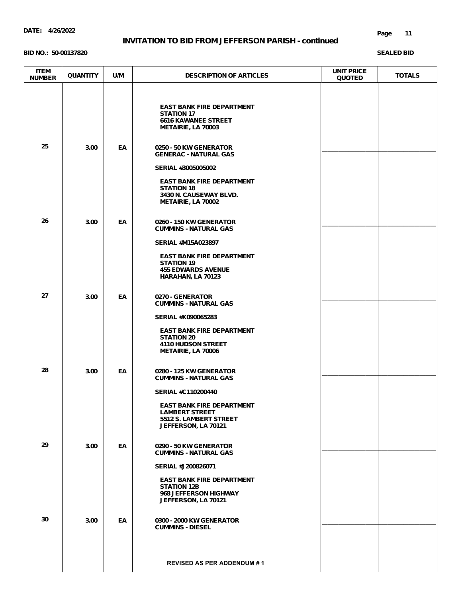#### **BID NO.: 50-00137820**

| <b>ITEM</b><br><b>NUMBER</b> | <b>QUANTITY</b> | U/M | <b>DESCRIPTION OF ARTICLES</b>                                                                                                                                   | <b>UNIT PRICE</b><br><b>QUOTED</b> | <b>TOTALS</b> |
|------------------------------|-----------------|-----|------------------------------------------------------------------------------------------------------------------------------------------------------------------|------------------------------------|---------------|
|                              |                 |     | <b>EAST BANK FIRE DEPARTMENT</b><br><b>STATION 17</b><br><b>6616 KAWANEE STREET</b><br>METAIRIE, LA 70003                                                        |                                    |               |
| 25                           | 3.00            | EA  | 0250 - 50 KW GENERATOR<br><b>GENERAC - NATURAL GAS</b>                                                                                                           |                                    |               |
|                              |                 |     | SERIAL #3005005002<br><b>EAST BANK FIRE DEPARTMENT</b><br><b>STATION 18</b><br>3430 N. CAUSEWAY BLVD.<br>METAIRIE, LA 70002                                      |                                    |               |
| 26                           | 3.00            | EA  | 0260 - 150 KW GENERATOR<br><b>CUMMINS - NATURAL GAS</b>                                                                                                          |                                    |               |
|                              |                 |     | <b>SERIAL #M15A023897</b><br><b>EAST BANK FIRE DEPARTMENT</b><br><b>STATION 19</b><br><b>455 EDWARDS AVENUE</b><br>HARAHAN, LA 70123                             |                                    |               |
| 27                           | 3.00            | EA  | 0270 - GENERATOR<br><b>CUMMINS - NATURAL GAS</b>                                                                                                                 |                                    |               |
| 28                           | 3.00            | ΕA  | <b>SERIAL #K090065283</b><br><b>EAST BANK FIRE DEPARTMENT</b><br><b>STATION 20</b><br><b>4110 HUDSON STREET</b><br>METAIRIE, LA 70006<br>0280 - 125 KW GENERATOR |                                    |               |
|                              |                 |     | <b>CUMMINS - NATURAL GAS</b>                                                                                                                                     |                                    |               |
|                              |                 |     | <b>SERIAL #C110200440</b><br><b>EAST BANK FIRE DEPARTMENT</b><br><b>LAMBERT STREET</b><br>5512 S. LAMBERT STREET<br>JEFFERSON, LA 70121                          |                                    |               |
| 29                           | 3.00            | EA  | 0290 - 50 KW GENERATOR<br><b>CUMMINS - NATURAL GAS</b>                                                                                                           |                                    |               |
|                              |                 |     | SERIAL #J200826071<br><b>EAST BANK FIRE DEPARTMENT</b><br><b>STATION 12B</b><br>968 JEFFERSON HIGHWAY<br>JEFFERSON, LA 70121                                     |                                    |               |
| 30                           | 3.00            | EA  | 0300 - 2000 KW GENERATOR<br><b>CUMMINS - DIESEL</b>                                                                                                              |                                    |               |
|                              |                 |     | <b>REVISED AS PER ADDENDUM #1</b>                                                                                                                                |                                    |               |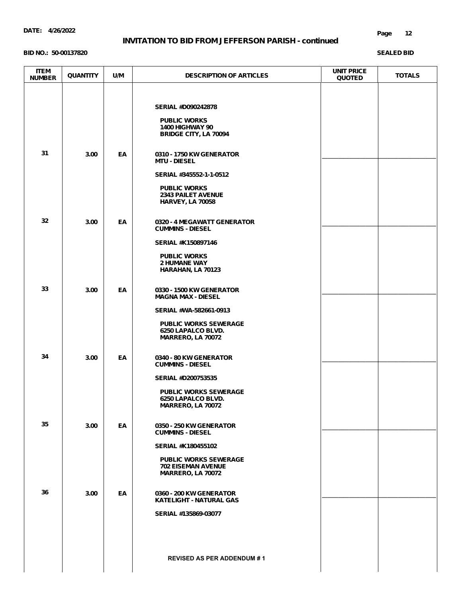**BID NO.: 50-00137820**

#### **Page 12**

| <b>ITEM</b><br><b>NUMBER</b> | <b>QUANTITY</b> | U/M | <b>DESCRIPTION OF ARTICLES</b>                                                                                                                                           | <b>UNIT PRICE</b><br><b>QUOTED</b> | <b>TOTALS</b> |
|------------------------------|-----------------|-----|--------------------------------------------------------------------------------------------------------------------------------------------------------------------------|------------------------------------|---------------|
|                              |                 |     | <b>SERIAL #D090242878</b><br><b>PUBLIC WORKS</b><br><b>1400 HIGHWAY 90</b><br><b>BRIDGE CITY, LA 70094</b>                                                               |                                    |               |
| 31                           | 3.00            | EA  | 0310 - 1750 KW GENERATOR<br><b>MTU - DIESEL</b><br>SERIAL #345552-1-1-0512<br><b>PUBLIC WORKS</b><br><b>2343 PAILET AVENUE</b><br><b>HARVEY, LA 70058</b>                |                                    |               |
| 32                           | 3.00            | EA  | 0320 - 4 MEGAWATT GENERATOR<br><b>CUMMINS - DIESEL</b><br><b>SERIAL #K150897146</b><br><b>PUBLIC WORKS</b><br><b>2 HUMANE WAY</b><br>HARAHAN, LA 70123                   |                                    |               |
| 33                           | 3.00            | EA  | 0330 - 1500 KW GENERATOR<br><b>MAGNA MAX - DIESEL</b><br>SERIAL #WA-582661-0913<br><b>PUBLIC WORKS SEWERAGE</b><br>6250 LAPALCO BLVD.<br>MARRERO, LA 70072               |                                    |               |
| 34                           | 3.00            | ΕA  | 0340 - 80 KW GENERATOR<br><b>CUMMINS - DIESEL</b><br><b>SERIAL #D200753535</b><br><b>PUBLIC WORKS SEWERAGE</b><br>6250 LAPALCO BLVD.<br>MARRERO, LA 70072                |                                    |               |
| 35                           | 3.00            | EA  | 0350 - 250 KW GENERATOR<br><b>CUMMINS - DIESEL</b><br><b>SERIAL #K180455102</b><br><b>PUBLIC WORKS SEWERAGE</b><br><b>702 EISEMAN AVENUE</b><br><b>MARRERO, LA 70072</b> |                                    |               |
| 36                           | 3.00            | EA  | 0360 - 200 KW GENERATOR<br><b>KATELIGHT - NATURAL GAS</b><br>SERIAL #135869-03077<br><b>REVISED AS PER ADDENDUM #1</b>                                                   |                                    |               |
|                              |                 |     |                                                                                                                                                                          |                                    |               |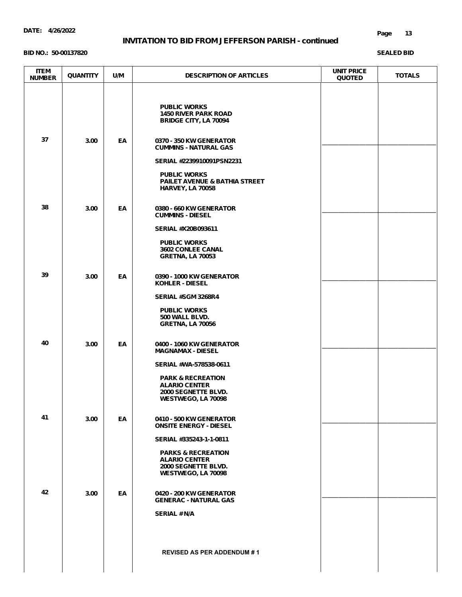#### **BID NO.: 50-00137820**

| <b>ITEM</b><br><b>NUMBER</b> | <b>QUANTITY</b> | U/M | <b>DESCRIPTION OF ARTICLES</b>                                                                     | <b>UNIT PRICE</b><br><b>QUOTED</b> | <b>TOTALS</b> |
|------------------------------|-----------------|-----|----------------------------------------------------------------------------------------------------|------------------------------------|---------------|
|                              |                 |     | <b>PUBLIC WORKS</b><br><b>1450 RIVER PARK ROAD</b><br><b>BRIDGE CITY, LA 70094</b>                 |                                    |               |
| 37                           | 3.00            | EA  | 0370 - 350 KW GENERATOR<br><b>CUMMINS - NATURAL GAS</b>                                            |                                    |               |
|                              |                 |     | SERIAL #2239910091PSN2231                                                                          |                                    |               |
|                              |                 |     | <b>PUBLIC WORKS</b><br>PAILET AVENUE & BATHIA STREET<br><b>HARVEY, LA 70058</b>                    |                                    |               |
| 38                           | 3.00            | EA  | 0380 - 660 KW GENERATOR<br><b>CUMMINS - DIESEL</b>                                                 |                                    |               |
|                              |                 |     | SERIAL #X20B093611                                                                                 |                                    |               |
|                              |                 |     | <b>PUBLIC WORKS</b><br>3602 CONLEE CANAL<br><b>GRETNA, LA 70053</b>                                |                                    |               |
| 39                           | 3.00            | EA  | 0390 - 1000 KW GENERATOR<br><b>KOHLER - DIESEL</b>                                                 |                                    |               |
|                              |                 |     | SERIAL #SGM 3268R4                                                                                 |                                    |               |
|                              |                 |     | <b>PUBLIC WORKS</b><br>500 WALL BLVD.<br><b>GRETNA, LA 70056</b>                                   |                                    |               |
| 40                           | 3.00            | EA  | 0400 - 1060 KW GENERATOR<br><b>MAGNAMAX - DIESEL</b>                                               |                                    |               |
|                              |                 |     | SERIAL #WA-578538-0611                                                                             |                                    |               |
|                              |                 |     | <b>PARK &amp; RECREATION</b><br><b>ALARIO CENTER</b><br>2000 SEGNETTE BLVD.<br>WESTWEGO, LA 70098  |                                    |               |
| 41                           | 3.00            | EA  | 0410 - 500 KW GENERATOR<br><b>ONSITE ENERGY - DIESEL</b>                                           |                                    |               |
|                              |                 |     | SERIAL #335243-1-1-0811                                                                            |                                    |               |
|                              |                 |     | <b>PARKS &amp; RECREATION</b><br><b>ALARIO CENTER</b><br>2000 SEGNETTE BLVD.<br>WESTWEGO, LA 70098 |                                    |               |
| 42                           | 3.00            | EA  | 0420 - 200 KW GENERATOR<br><b>GENERAC - NATURAL GAS</b>                                            |                                    |               |
|                              |                 |     | <b>SERIAL # N/A</b>                                                                                |                                    |               |
|                              |                 |     | <b>REVISED AS PER ADDENDUM #1</b>                                                                  |                                    |               |